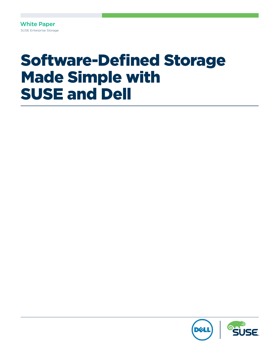White Paper SUSE Enterprise Storage

# Software-Defined Storage Made Simple with SUSE and Dell

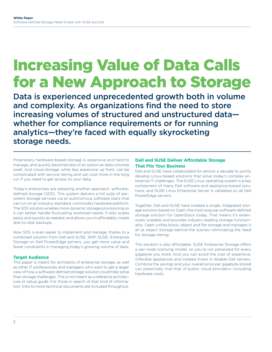# Increasing Value of Data Calls for a New Approach to Storage

Data is experienced unprecedented growth both in volume and complexity. As organizations find the need to store increasing volumes of structured and unstructured data whether for compliance requirements or for running analytics—they're faced with equally skyrocketing storage needs.

Proprietary hardware-based storage is expensive and hard to manage, and quickly becomes less of an option as data volumes swell. And cloud storage, while less expensive up front, can be complicated with service tiering and can cost more in the long run if you need to get access to your data.

Today's enterprises are adopting another approach: softwaredefined storage (SDS). This system delivers a full suite of persistent storage services via an autonomous software stack that can run on an industry-standard, commodity hardware platform. The SDS solution enables more dynamic storage provisioning so it can better handle fluctuating workload needs. It also scales easily and quickly as needed, and allows you to affordably create disk-to-disk backups.

Now SDS is even easier to implement and manage, thanks to a combined solution from Dell and SUSE. With SUSE<sup>®</sup> Enterprise Storage on Dell PowerEdge servers, you get more value and fewer constraints in managing today's growing volume of data.

# **Target Audience**

This paper is meant for architects of enterprise storage, as well as other IT professionals and managers who want to get a larger view of how a software-defined storage solution could help solve their storage challenges. This is not meant as a reference architecture or setup guide. For those in search of that kind of information, links to more technical documents are included throughout.

# **Dell and SUSE Deliver Affordable Storage That Fits Your Business**

Dell and SUSE have collaborated for almost a decade to jointly develop Linux-based solutions that solve today's complex enterprise IT challenges. The SUSE Linux operating system is a key component of many Dell software and appliance-based solutions, and SUSE Linux Enterprise Server is validated on all Dell PowerEdge servers.

Together, Dell and SUSE have created a single, integrated storage solution based on Ceph, the most popular software-defined storage solution for OpenStack today. That means it's extensively scalable and provides industry-leading storage functionality. Ceph unifies block, object and file storage and manages it all as object storage behind the scenes—eliminating the need for storage tiering.

The solution is also affordable. SUSE Enterprise Storage offers a per-node licensing model, so you're not penalized for every gigabyte you store. And you can avoid the cost of expensive, inflexible appliances and instead invest in reliable Dell servers. Combine the savings and your overall price per gigabyte stored can potentially rival that of public cloud providers—including hardware costs.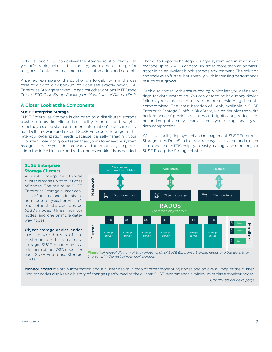<span id="page-2-0"></span>Only Dell and SUSE can deliver the storage solution that gives you affordable, unlimited scalability; one-element storage for all types of data; and maximum ease, automation and control.

A perfect example of the solution's affordability is in the use case of disk-to-disk backup. You can see exactly how SUSE Enterprise Storage stacked up against other options in IT Brand Pulse's *[TCO Case Study: Backing Up Mountains of Data to Disk](https://www.suse.com/docrep/documents/howu1od2qa/backing_up_mountains_of_data_to_risk.pdf)*.

# **A Closer Look at the Components**

#### **SUSE Enterprise Storage**

SUSE Enterprise Storage is designed as a distributed storage cluster to provide unlimited scalability from tens of terabytes to petabytes (see sidebar for more information). You can easily add Dell hardware and extend SUSE Enterprise Storage at the rate your organization needs. Because it is self-managing, your IT burden does not grow faster than your storage—the system recognizes when you add hardware and automatically integrates it into the infrastructure and redistributes workloads as needed.

Thanks to Ceph technology, a single system administrator can manage up to 3–4 PB of data, six times more than an administrator in an equivalent block-storage environment. The solution can scale even further horizontally, with increasing performance results as it grows.

Ceph also comes with erasure coding, which lets you define settings for data protection. You can determine how many device failures your cluster can tolerate before considering the data compromised. The latest iteration of Ceph, available in SUSE Enterprise Storage 5, offers BlueStore, which doubles the write performance of previous releases and significantly reduces input and output latency. It can also help you free up capacity via data compression.

We also simplify deployment and management. SUSE Enterprise Storage uses DeepSea to provide easy installation and cluster setup and openATTIC helps you easily manage and monitor your SUSE Enterprise Storage cluster.

# **SUSE Enterprise Storage Clusters**

A SUSE Enterprise Storage cluster is made up of four types of nodes. The minimum SUSE Enterprise Storage cluster consists of at least one administration node (physical or virtual), four object storage device (OSD) nodes, three monitor nodes, and one or more gateway nodes.

## Object storage device nodes

are the workhorses of the cluster and do the actual data storage. SUSE recommends a minimum of four OSD nodes for each SUSE Enterprise Storage cluster.



**Figure 1.** *A logical diagram of the various kinds of SUSE Enterprise Storage nodes and the ways they interact with the rest of your environment.*

Monitor nodes maintain information about cluster health, a map of other monitoring nodes and an overall map of the cluster. Monitor nodes also keep a history of changes performed to the cluster. SUSE recommends a minimum of three monitor nodes.

*[Continued on next page](#page-3-0)*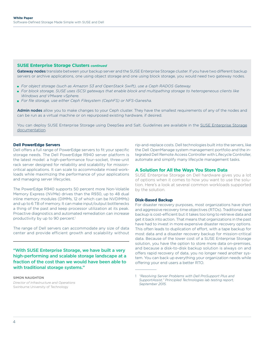# <span id="page-3-0"></span>**[SUSE Enterprise Storage Clusters](#page-2-0)** *continued*

Gateway nodes translate between your backup server and the SUSE Enterprise Storage cluster. If you have two different backup servers or archive applications, one using object storage and one using block storage, you would need two gateway nodes.

- *For object storage (such as Amazon S3 and OpenStack Swift), use a Ceph RADOS Gateway.*
- *For block storage, SUSE uses iSCSI gateways that enable block and multipathing storage to heterogeneous clients like Windows and VMware vSphere.*
- *For file storage, use either Ceph Filesystem (CephFS) or NFS-Ganesha.*

Admin nodes allow you to make changes to your Ceph cluster. They have the smallest requirements of any of the nodes and can be run as a virtual machine or on repurposed existing hardware, if desired.

You can deploy [SUSE Enterprise Storage](https://www.suse.com/documentation/suse-enterprise-storage-5/book_storage_deployment/data/ses_deployment.html) using DeepSea and Salt. Guidelines are available in the SUSE Enterprise Storage [documentation.](https://www.suse.com/documentation/suse-enterprise-storage-5/book_storage_deployment/data/ses_deployment.html)

## **Dell PowerEdge Servers**

Dell offers a full range of PowerEdge servers to fit your specific storage needs. The Dell PowerEdge R940 server platform is the latest model: a high-performance four-socket, three-unit rack server designed for reliability and scalability for missioncritical applications. It can scale to accommodate mixed workloads while maximizing the performance of your applications and managing server lifecycles.

The PowerEdge R940 supports 50 percent more Non-Volatile Memory Express (NVMe) drives than the R930, up to 48 dual inline memory modules (DIMMs, 12 of which can be NVDIMMs) and up to 6 TB of memory. It can make input/output bottlenecks a thing of the past and keep processor utilization at its peak. Proactive diagnostics and automated remediation can increase productivity by up to 90 percent.<sup>1</sup>

The range of Dell servers can accommodate any size of data center and provide efficient growth and scalability without

"With SUSE Enterprise Storage, we have built a very high-performing and scalable storage landscape at a fraction of the cost than we would have been able to with traditional storage systems."

# SIMON NAUGHTON

*Director of Infrastructure and Operations* Swinburne University of Technology

rip-and-replace costs. Dell technologies built into the servers, like the Dell OpenManage system management portfolio and the integrated Dell Remote Access Controller with Lifecycle Controller, automate and simplify many lifecycle management tasks.

## **A Solution for All the Ways You Store Data**

SUSE Enterprise Storage on Dell hardware gives you a lot of options when it comes to how you want to use the solution. Here's a look at several common workloads supported by the solution.

#### **Disk-Based Backup**

 $\overline{\phantom{a}}$ 

For disaster recovery purposes, most organizations have short and aggressive recovery time objectives (RTOs). Traditional tape backup is cost-efficient but it takes too long to retrieve data and get it back into action. That means that organizations in the past have had to invest in more expensive disaster recovery options. This often leads to duplication of effort, with a tape backup for most data and a disaster recovery backup for mission-critical data. Because of the lower cost of a SUSE Enterprise Storage solution, you have the option to store more data on-premises, and because a disk-to-disk backup solution is always on and offers rapid recovery of data, you no longer need another system. You can back up everything your organization needs while offering your end users a better RTO.

<sup>1</sup> *"Resolving Server Problems with Dell ProSupport Plus and SupportAssist," Principled Technologies lab testing report, September 2015.*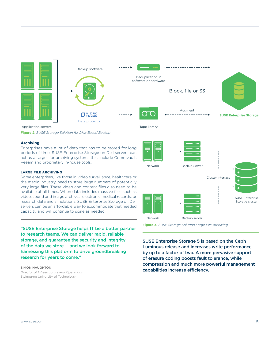



**Figure 2.** *SUSE Storage Solution for Disk-Based Backup*

#### **Archiving**

Enterprises have a lot of data that has to be stored for long periods of time. SUSE Enterprise Storage on Dell servers can act as a target for archiving systems that include Commvault, Veeam and proprietary in-house tools.

#### **LARGE FILE ARCHIVING**

Some enterprises, like those in video surveillance, healthcare or the media industry, need to store large numbers of potentially very large files. These video and content files also need to be available at all times. When data includes massive files such as video, sound and image archives; electronic medical records; or research data and simulations, SUSE Enterprise Storage on Dell servers can be an affordable way to accommodate that needed capacity and will continue to scale as needed.

"SUSE Enterprise Storage helps IT be a better partner to research teams. We can deliver rapid, reliable storage, and guarantee the security and integrity of the data we store … and we look forward to harnessing this platform to drive groundbreaking research for years to come."

#### SIMON NAUGHTON

*Director of Infrastructure and Operations* Swinburne University of Technology

Network Network Backup server Cluster interface SUSE Enterprise Storage cluster Backup Server

**Figure 3.** *SUSE Storage Solution Large File Archiving*

SUSE Enterprise Storage 5 is based on the Ceph Luminous release and increases write performance by up to a factor of two. A more pervasive support of erasure coding boosts fault tolerance, while compression and much more powerful management capabilities increase efficiency.

[www.suse.com](http://www.suse.com) 5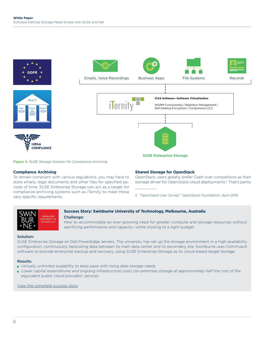

**Figure 4.** *SUSE Storage Solution for Compliance Archiving*

# **Compliance Archiving**

To remain compliant with various regulations, you may have to store emails, legal documents and other files for specified periods of time. SUSE Enterprise Storage can act as a target for compliance archiving systems such as iTernity to meet these very specific requirements.

# **Shared Storage for OpenStack**

OpenStack users greatly prefer Ceph over competitors as their storage driver for OpenStack cloud deployments.2 That's partly  $\mathcal{L}=\mathcal{L}^{\mathcal{L}}$ 

2 *"OpenStack User Survey," OpenStack Foundation, April 2016.*



# **Success Story: Swinburne University of Technology, Melbourne, Australia**

#### Challenge:

How to accommodate an ever-growing need for greater compute and storage resources without sacrificing performance and capacity—while sticking to a tight budget.

## Solution:

SUSE Enterprise Storage on Dell PowerEdge servers. The university has set up the storage environment in a high-availability configuration, continuously replicating data between its main data center and its secondary site. Swinburne uses Commvault software to provide enterprise backup and recovery, using SUSE Enterprise Storage as its cloud-based target storage.

## Results:

- *Virtually unlimited scalability to keep pace with rising data storage needs*
- *Lower capital expenditures and ongoing infrastructure costs (on-premises storage at approximately half the cost of the equivalent public cloud providers' service)*

[View the complete success story.](https://www.suse.com/success/stories/swinburne-university-of-technology/)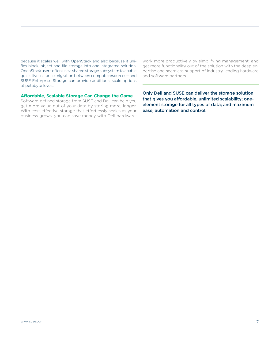because it scales well with OpenStack and also because it unifies block, object and file storage into one integrated solution. OpenStack users often use a shared storage subsystem to enable quick, live instance migration between compute resources—and SUSE Enterprise Storage can provide additional scale options at petabyte levels.

work more productively by simplifying management; and get more functionality out of the solution with the deep expertise and seamless support of industry-leading hardware and software partners.

# **Affordable, Scalable Storage Can Change the Game**

Software-defined storage from SUSE and Dell can help you get more value out of your data by storing more, longer. With cost-effective storage that effortlessly scales as your business grows, you can save money with Dell hardware; Only Dell and SUSE can deliver the storage solution that gives you affordable, unlimited scalability; oneelement storage for all types of data; and maximum ease, automation and control.